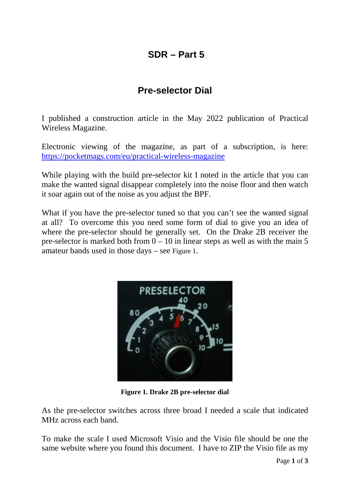## **SDR – Part 5**

## **Pre-selector Dial**

I published a construction article in the May 2022 publication of Practical Wireless Magazine.

Electronic viewing of the magazine, as part of a subscription, is here: <https://pocketmags.com/eu/practical-wireless-magazine>

While playing with the build pre-selector kit I noted in the article that you can make the wanted signal disappear completely into the noise floor and then watch it soar again out of the noise as you adjust the BPF.

What if you have the pre-selector tuned so that you can't see the wanted signal at all? To overcome this you need some form of dial to give you an idea of where the pre-selector should be generally set. On the Drake 2B receiver the pre-selector is marked both from  $0 - 10$  in linear steps as well as with the main 5 amateur bands used in those days – see [Figure 1.](#page-0-0)



**Figure 1. Drake 2B pre-selector dial**

<span id="page-0-0"></span>As the pre-selector switches across three broad I needed a scale that indicated MHz across each band.

To make the scale I used Microsoft Visio and the Visio file should be one the same website where you found this document. I have to ZIP the Visio file as my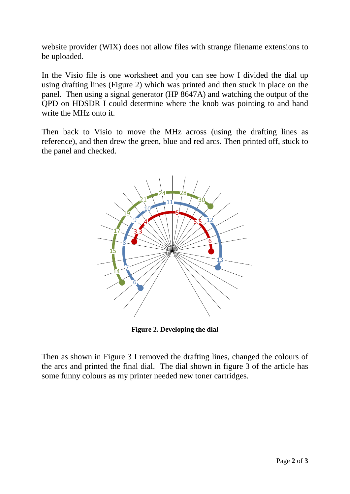website provider (WIX) does not allow files with strange filename extensions to be uploaded.

In the Visio file is one worksheet and you can see how I divided the dial up using drafting lines [\(Figure 2\)](#page-1-0) which was printed and then stuck in place on the panel. Then using a signal generator (HP 8647A) and watching the output of the QPD on HDSDR I could determine where the knob was pointing to and hand write the MHz onto it.

Then back to Visio to move the MHz across (using the drafting lines as reference), and then drew the green, blue and red arcs. Then printed off, stuck to the panel and checked.



**Figure 2. Developing the dial**

<span id="page-1-0"></span>Then as shown in [Figure 3](#page-2-0) I removed the drafting lines, changed the colours of the arcs and printed the final dial. The dial shown in figure 3 of the article has some funny colours as my printer needed new toner cartridges.